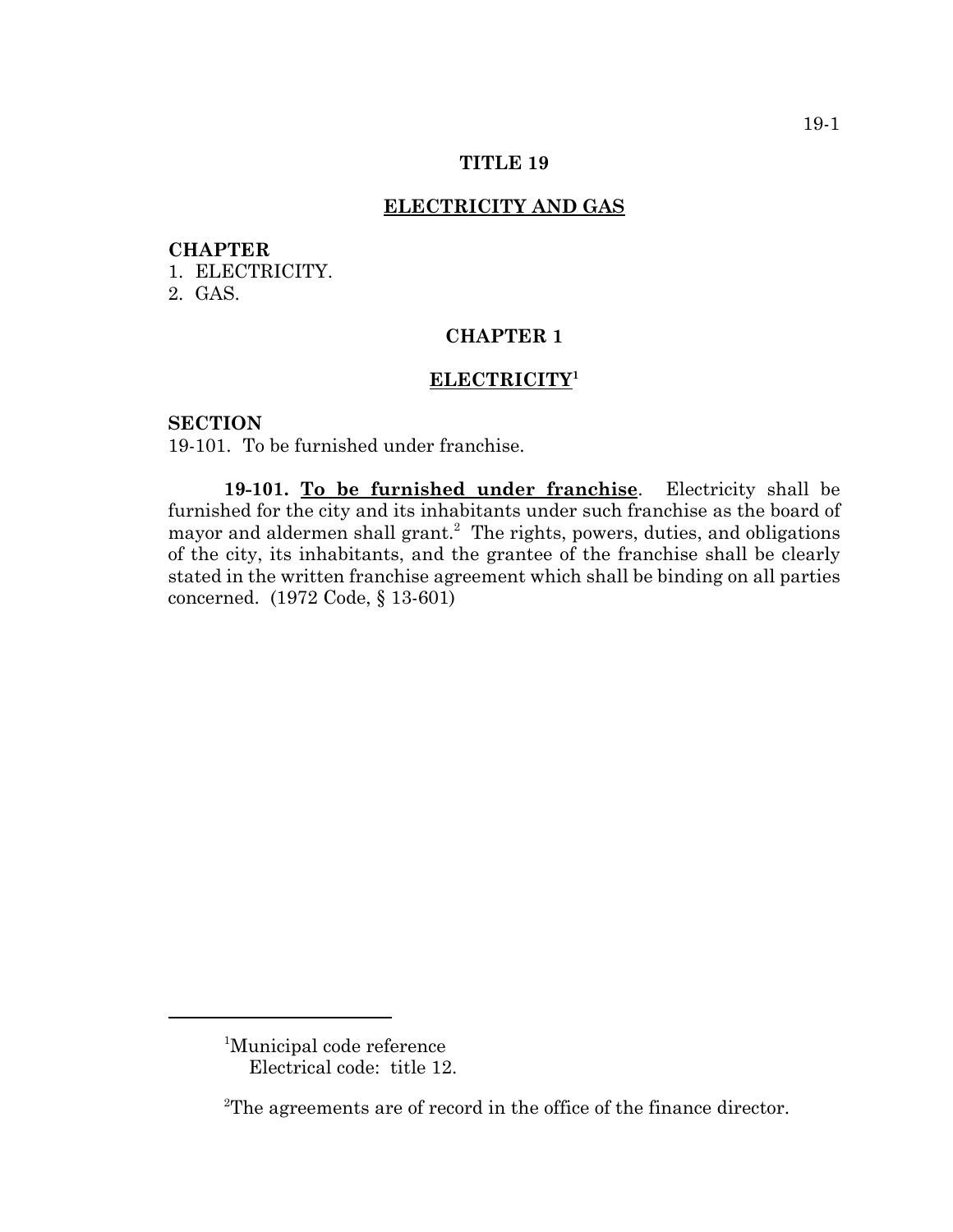### **TITLE 19**

## **ELECTRICITY AND GAS**

## **CHAPTER**

1. ELECTRICITY.

2. GAS.

# **CHAPTER 1**

## **ELECTRICITY1**

#### **SECTION**

19-101. To be furnished under franchise.

**19-101. To be furnished under franchise**. Electricity shall be furnished for the city and its inhabitants under such franchise as the board of mayor and aldermen shall grant.<sup>2</sup> The rights, powers, duties, and obligations of the city, its inhabitants, and the grantee of the franchise shall be clearly stated in the written franchise agreement which shall be binding on all parties concerned. (1972 Code, § 13-601)

<sup>&</sup>lt;sup>1</sup>Municipal code reference Electrical code: title 12.

 $2^2$ The agreements are of record in the office of the finance director.